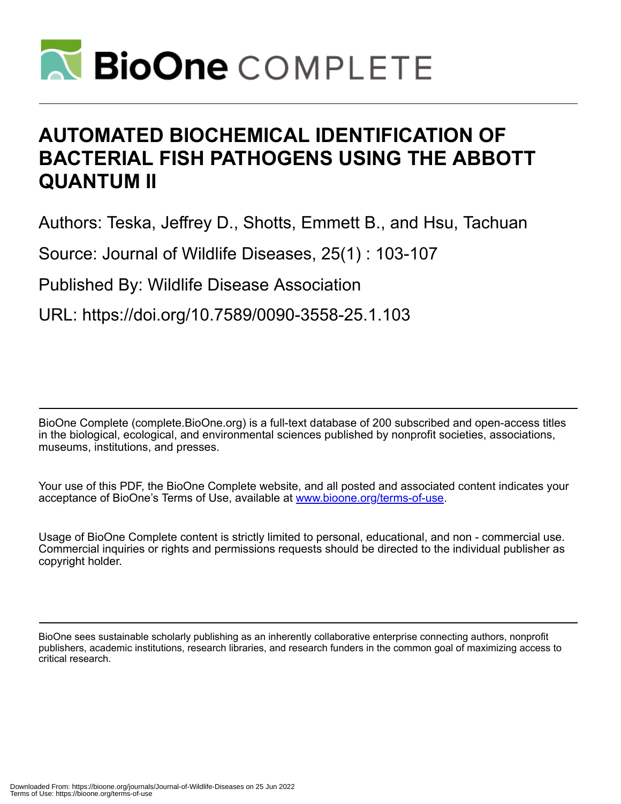

# **AUTOMATED BIOCHEMICAL IDENTIFICATION OF BACTERIAL FISH PATHOGENS USING THE ABBOTT QUANTUM II**

Authors: Teska, Jeffrey D., Shotts, Emmett B., and Hsu, Tachuan

Source: Journal of Wildlife Diseases, 25(1) : 103-107

Published By: Wildlife Disease Association

URL: https://doi.org/10.7589/0090-3558-25.1.103

BioOne Complete (complete.BioOne.org) is a full-text database of 200 subscribed and open-access titles in the biological, ecological, and environmental sciences published by nonprofit societies, associations, museums, institutions, and presses.

Your use of this PDF, the BioOne Complete website, and all posted and associated content indicates your acceptance of BioOne's Terms of Use, available at www.bioone.org/terms-of-use.

Usage of BioOne Complete content is strictly limited to personal, educational, and non - commercial use. Commercial inquiries or rights and permissions requests should be directed to the individual publisher as copyright holder.

BioOne sees sustainable scholarly publishing as an inherently collaborative enterprise connecting authors, nonprofit publishers, academic institutions, research libraries, and research funders in the common goal of maximizing access to critical research.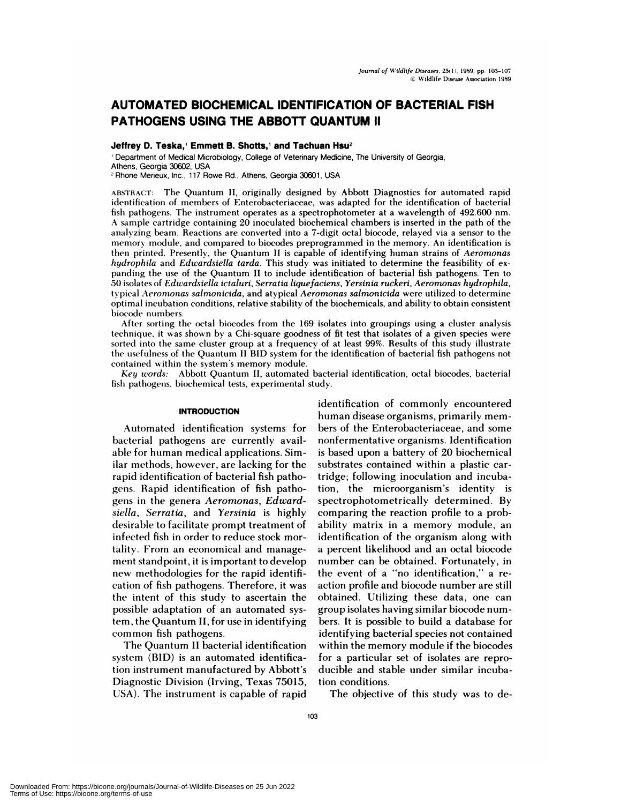# **AUTOMATED BIOCHEMICAL IDENTIFICATION OF BACTERIAL FISH PATHOGENS USING THE ABBOTT QUANTUM II**

# Jeffrey D. Teska,' Emmett B. Shotts,' and Tachuan Hsu<sup>2</sup>

Department of Medical Microbiology, College of Veterinary Medicine, The University of Georgia, Athens, Georgia 30602, USA

**<sup>2</sup>** Rhone Merieux, Inc., 117 Rowe Rd., Athens, Georgia 30601, USA

ABSTRACT: The Quantum II, originally designed by Abbott Diagnostics for automated rapid identification of members of Enterobacteriaceae, was adapted for the identification of bacterial fish pathogens. The instrument operates as a spectrophotometer at a wavelength of 492.600 nm. A sample cartridge containing 20 inoculated biochemical chambers is inserted in the path of the analyzing beam. Reactions are converted into a 7-digit octal biocode, relayed via a sensor to the memory module, and compared to biocodes preprogrammed in the memory. An identification is then printed. Presently, the Quantum IIis capable of identifying human strains of *Aeromonas hydrophila* and *Edwardsiella tarda.* This study was initiated to determine the feasibility of ex panding the use of the Quantum II to include identification of bacterial fish pathogens. Ten to 50 isolates of *Edwardsiella ictaluri, Serratia liquefaciens, Yersinia ruckeri, Aeromonas hydrophila,* typical *Aeromonas salmonicida,* and atypical *Aeromonas salrnonicida* were utilized to determine optimal incubation conditions, relative stability of the biochemicals, and ability to obtain consistent biocode numbers.

After sorting the octal biocodes from the 169 isolates into groupings using a cluster analysis technique, it was shown by a Chi-square goodness of fit test that isolates of a given species were sorted into the same cluster group at a frequency of at least 99%. Results of this study illustrate the usefulness of the Quantum II BID system for the identification of bacterial fish pathogens not contained within the system's memory module.

*Key words:* Abbott Quantum II, automated bacterial identification, octal biocodes, bacterial fish pathogens, biochemical tests, experimental study.

## **INTRODUCTION**

Automated identification systems for bacterial pathogens are currently available for human medical applications. Similar methods, however, are lacking for the rapid identification of bacterial fish pathogens. Rapid identification of fish pathogens in the genera *Aeromonas, Edwardsiella, Serratia,* and *Yersinia* is highly desirable to facilitate prompt treatment of infected fish in order to reduce stock mortality. From an economical and management standpoint, it is important to develop new methodologies for the rapid identification of fish pathogens. Therefore, it was the intent of this study to ascertain the possible adaptation of an automated system, the Quantum II, for use in identifying common fish pathogens.

The Quantum II bacterial identification system (BID) is an automated identification instrument manufactured by Abbott's Diagnostic Division (Irving, Texas 75015, USA). The instrument is capable of rapid

**identification** of commonly encountered human disease organisms, primarily mem bers of the Enterobacteriaceae, and some nonfermentative organisms. Identification is based upon a battery of 20 biochemical substrates contained within a plastic cartridge; following inoculation and incubation, the microorganism's identity is spectrophotometrically determined. By comparing the reaction profile to a probability matrix in a memory module, an identification of the organism along with a percent likelihood and an octal biocode number can be obtained. Fortunately, in the event of a "no identification," a re action profile and biocode number are still obtained. Utilizing these data, one can group isolates having similar biocode num bers. It is possible to build a database for identifying bacterial species not contained within the memory module if the biocodes for a particular set of isolates are reproducible and stable under similar incubation conditions.

The objective of this study was to de-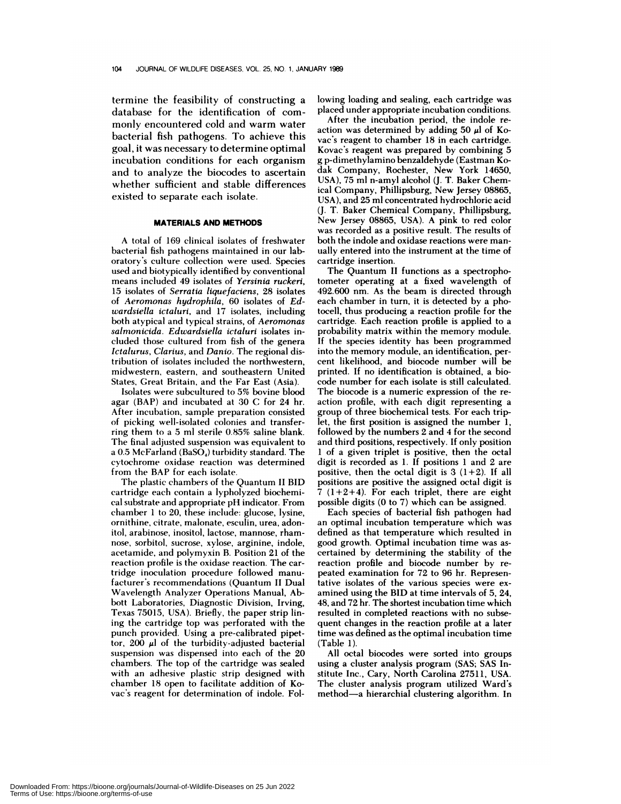termine the feasibility of constructing a database for the identification of com monly encountered cold and warm water bacterial fish pathogens. To achieve this goal, it was necessary to determine optimal incubation conditions for each organism and to analyze the biocodes to ascertain whether sufficient and stable differences existed to separate each isolate.

#### **MATERIALS AND METHODS**

A total of 169 clinical isolates of freshwater **bacterial** fish pathogens maintained in our laboratory's culture collection were used. Species used and biotypically identified by conventional means included 49 isolates of *Yersinia ruckeri,* 15 isolates of *Serratia liquefaciens,* 28 isolates **of** *Aeromonas hydrophila,* 60 isolates of *Edwardsiella ictaluri,* and 17 isolates, including both atypical and typical strains, of *Aeromonas salmonicida. Edwardsiella ictaluri* isolates included those cultured from fish of the genera *Ictalurus, Clarius,* and *Danio.* The regional distribution of isolates included the northwestern, midwestern, eastern, and southeastern United **States, Creat Britain,** and the Far East (Asia).

Isolates were subcultured to 5% bovine blood agar (BAP) and incubated at 30 C for 24 hr. After incubation, sample preparation consisted of picking well-isolated colonies and transferring them to a 5 ml sterile 0.85% saline blank. The final adjusted suspension was equivalent to a  $0.5$  McFarland (BaSO<sub>4</sub>) turbidity standard. The cytochrome oxidase reaction was determined from the BAP for each isolate.

The plastic chambers of the Quantum II BID cartridge each contain a lypholyzed biochemi cal substrate and appropriate pH indicator. From chamber 1 to 20, these include: glucose, lysine, ornithine, citrate, malonate, esculin, urea, adonitol, arabinose, inositol, lactose, mannose, rham nose, sorbitol, sucrose, xylose, arginine, indole, acetamide, and polymyxin B. Position 21 of the reaction profile is the oxidase reaction. The cartridge inoculation procedure followed manufacturer's recommendations (Quantum II Dual Wavelength Analyzer Operations Manual, Abbott Laboratories, Diagnostic Division, Irving, Texas 75015, USA). Briefly, the paper strip lining the cartridge top was perforated with the punch provided. Using a pre-calibrated pipettor, 200  $\mu$ l of the turbidity-adjusted bacterial suspension was dispensed into each of the 20 chambers. The top of the cartridge was sealed with an adhesive plastic strip designed with chamber 18 open to facilitate addition of Kovac's reagent for determination of indole. Following loading and sealing, each cartridge was placed under appropriate incubation conditions.

After the incubation period, the indole re action was determined by adding 50  $\mu$ l of Kovac's reagent to chamber 18 in each cartridge. Kovac's reagent was prepared by combining 5 g p-dimethylamino benzaldehyde (Eastman Ko dak Company, Rochester, New York 14650, USA), 75 ml n-amyl alcohol (J. T. Baker Chemical Company, Phillipsburg, New Jersey 08865, USA), and 25 ml concentrated hydrochloric acid (J. T. Baker Chemical Company, Phillipsburg, New Jersey 08865, USA). A pink to red color was recorded as a positive result. The results of both the indole and oxidase reactions were man ually entered into the instrument at the time of cartridge insertion.

The Quantum II functions as a spectrophotometer operating at a fixed wavelength of 492.600 nm. As the beam is directed through each chamber in turn, it is detected by a photocell, thus producing a reaction profile for the cartridge. Each reaction profile is applied to a probability matrix within the memory module. If the species identity has been programmed into the memory module, an identification, per cent likelihood, and biocode number will be printed. If no identification is obtained, a biocode number for each isolate is still calculated. The biocode is a numeric expression of the re action profile, with each digit representing a group of three biochemical tests. For each triplet, the first position is assigned the number 1, followed by the numbers 2 and 4 for the second and third positions, respectively. If only position 1 of a given triplet is positive, then the octal digit is recorded as 1. If positions 1 and 2 are positive, then the octal digit is  $3(1+2)$ . If all positions are positive the assigned octal digit is  $7(1+2+4)$ . For each triplet, there are eight possible digits (0 to 7) which can be assigned.

Each species of bacterial fish pathogen had an optimal incubation temperature which was defined as that temperature which resulted in good growth. Optimal incubation time was as certained by determining the stability of the reaction profile and biocode number by re peated examination for 72 to 96 hr. Representative isolates of the various species were ex amined using the **BID at** time intervals of 5, 24, 48, and 72 hr. The shortest incubation time which resulted in completed reactions with no subsequent changes in the reaction profile at a later time was defined as the optimal incubation time (Table 1).

All octal biocodes were sorted into groups using a cluster analysis program (SAS; SAS Institute Inc., Gary, North Carolina 27511, USA. The cluster analysis program utilized Ward's method-a hierarchial clustering algorithm. In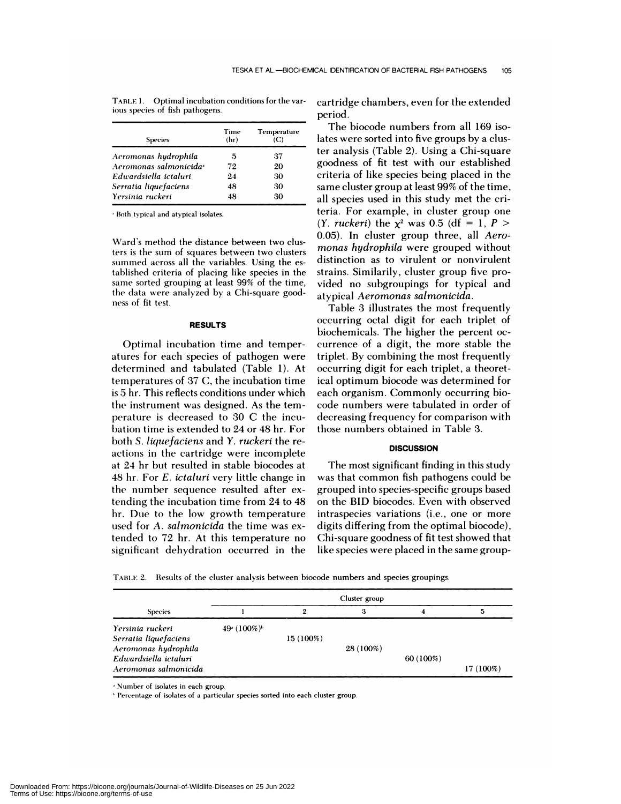| <b>Species</b>                     | Time<br>(hr) | Temperature<br>(C) |
|------------------------------------|--------------|--------------------|
| Aeromonas hydrophila               | 5            | 37                 |
| Aeromonas salmonicida <sup>2</sup> | 72           | 20                 |
| Edwardsiella ictaluri              | 24           | 30                 |
| Serratia liquefaciens              | 48           | 30                 |
| Yersinia ruckeri                   | 48           | 30                 |

TABLE 1. Optimal incubation conditions for the various species of fish pathogens.

Both typical and atypical isolates.

Ward's method the distance between two clusters is the sum of squares between two clusters summed across all the variables. Using the established criteria of placing like species in the same sorted grouping at least 99% of the time, the data were analyzed by a Chi-square good ness of fit test.

# **RESULTS**

Optimal incubation time and temperatures for each species of pathogen were determined and tabulated (Table 1). At temperatures of 37 C, the incubation time is 5 hr. This reflects conditions under which the instrument was designed. As the temperature is decreased to 30 C the incubation time is extended to 24 or 48 hr. For both *S. liquefaciens* and *Y. ruckeri* the re actions in the cartridge were incomplete at 24 hr but resulted in stable biocodes at 48 hr. For *E. ictaluri* very little change in the number sequence resulted after extending the incubation time from 24 to 48 hr. Due to the low growth temperature used for *A. salmonicida* the time was extended to 72 hr.At this temperature no significant dehydration occurred in the cartridge chambers, even for the extended period.

The biocode numbers from all 169 isolates were sorted into five groups by a cluster analysis (Table 2). Using a Chi-square goodness of fit test with our established criteria of like species being placed in the same cluster group at least 99% of the time, all species used in this study met the criteria. For example, in cluster group one *(Y. ruckeri)* the  $x^2$  was 0.5 (df = 1, *P* > 0.05). In cluster group three, all *Aero monas hydrophila* were grouped without distinction as to virulent or nonvirulent strains. Similarily, cluster group five provided no subgroupings for typical and atypical *Aeromonas salmonicida.*

Table 3 illustrates the most frequently occurring octal digit for each triplet of biochemicals. The higher the percent oc currence of a digit, the more stable the triplet. By combining the most frequently occurring digit for each triplet, a theoretical optimum biocode was determined for each organism. Commonly occurring biocode numbers were tabulated in order of decreasing frequency for comparison with those numbers obtained in Table 3.

## **DISCUSSION**

The most significant finding in this study was that common fish pathogens could be grouped into species-specific groups based on the BID biocodes. Even with observed intraspecies variations (i.e., one or more digits differing from the optimal biocode), Chi-square goodness of fit test showed that like species were placed in the same group-

TABLE 2. Results of the cluster analysis between biocode numbers and species groupings.

| <b>Species</b>        |              | 2         | З         |           |           |
|-----------------------|--------------|-----------|-----------|-----------|-----------|
| Yersinia ruckeri      | 49 $(100\%)$ |           |           |           |           |
| Serratia liquefaciens |              | 15 (100%) |           |           |           |
| Aeromonas hydrophila  |              |           | 28 (100%) |           |           |
| Edwardsiella ictaluri |              |           |           | 60 (100%) |           |
| Aeromonas salmonicida |              |           |           |           | 17 (100%) |

'Number of isolates in each group.

'Percentage of isolates of a particular species sorted into each cluster group.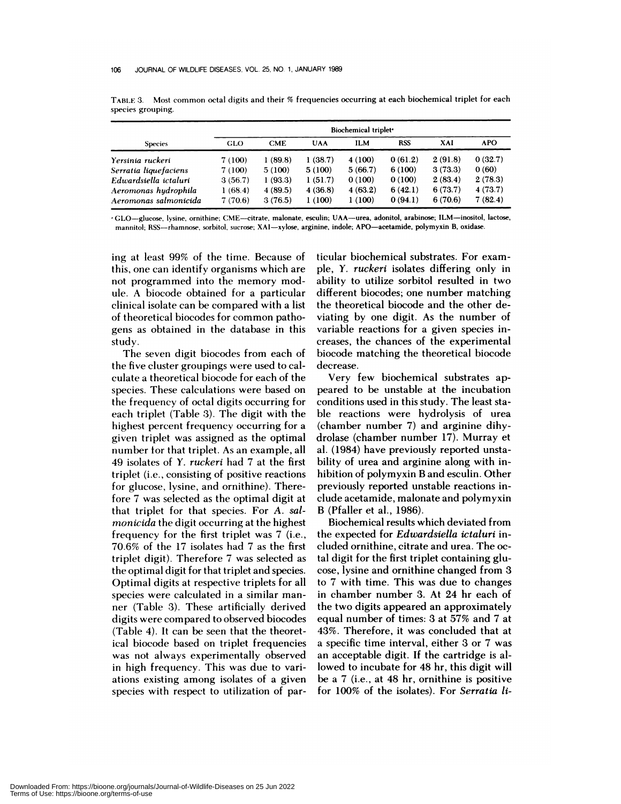|                       | Biochemical triplet <sup>*</sup> |            |            |            |            |         |            |
|-----------------------|----------------------------------|------------|------------|------------|------------|---------|------------|
| <b>Species</b>        | <b>GLO</b>                       | <b>CME</b> | <b>UAA</b> | <b>ILM</b> | <b>RSS</b> | XAI     | <b>APO</b> |
| Yersinia ruckeri      | 7 (100)                          | 1(89.8)    | 1(38.7)    | 4(100)     | 0(61.2)    | 2(91.8) | 0(32.7)    |
| Serratia liquefaciens | 7 (100)                          | 5(100)     | 5(100)     | 5(66.7)    | 6(100)     | 3(73.3) | 0(60)      |
| Edwardsiella ictaluri | 3(56.7)                          | 1(93.3)    | 1(51.7)    | 0(100)     | 0(100)     | 2(83.4) | 2(78.3)    |
| Aeromonas hudrophila  | 1(68.4)                          | 4(89.5)    | 4(36.8)    | 4(63.2)    | 6(42.1)    | 6(73.7) | 4(73.7)    |
| Aeromonas salmonicida | 7(70.6)                          | 3(76.5)    | 1(100)     | 1(100)     | 0(94.1)    | 6(70.6) | 7(82.4)    |

TABLE 3. Most common octal digits and their % frequencies occurring at each biochemical triplet for each species grouping.

GLO-glucose. lysine, ornithine; CME-citrate, malonate, esculin; UAA-urea, adonitol, arabinose; ILM-inositol, lactose, mannitol; RSS-rhamnose, sorbitol, sucrose; XAI-xylose, arginine, indole; APO-acetamide, polymyxin B, oxidase.

ing at least 99% of the time. Because of this, one can identify organisms which are not programmed into the memory module. A biocode obtained for a particular clinical isolate can be compared with a list of theoretical biocodes for common patho**gens as obtained in the database in this study.**

The seven digit biocodes from each of the five cluster groupings were used to calculate a theoretical biocode for each of the species. These calculations were based on the frequency of octal digits occurring for each triplet (Table 3). The digit with the highest percent frequency occurring for a given triplet was assigned as the optimal number for that triplet. As an example, all 49 isolates of *Y. ruckeri* had 7 at the first triplet (i.e., consisting of positive reactions for glucose, lysine, and ornithine). Therefore 7 was selected as the optimal digit at that triplet for that species. For *A. salmonicida* the digit occurring at the highest frequency for the first triplet was 7 (i.e., 70.6% of the 17 isolates had 7 as the first triplet digit). Therefore 7 was selected as the optimal digit for that triplet and species. Optimal digits at respective triplets for all species were calculated in a similar man ner (Table 3). These artificially derived digits were compared to observed biocodes (Table 4). It can be seen that the theoretical biocode based on triplet frequencies was not always experimentally observed in high frequency. This was due to variations existing among isolates of a given species with respect to utilization of particular biochemical substrates. For exam pie, Y. *ruckeri* isolates differing only in ability to utilize sorbitol resulted in two different biocodes; one number matching the theoretical biocode and the other deviating by one digit. As the number of variable reactions for a given species increases, the chances of the experimental biocode matching the theoretical biocode decrease.

Very few biochemical substrates appeared to be unstable at the incubation conditions used in this study. The least stable reactions were hydrolysis of urea (chamber number 7) and arginine dihydrolase (chamber number 17). Murray et al. (1984) have previously reported unstability of urea and arginine along with inhibition of polymyxin B and esculin. Other previously reported unstable reactions include acetamide, malonate and polymyxin B (Pfaller et al., 1986).

Biochemical results which deviated from the expected for *Edwardsiella ictaluri* included ornithine, citrate and urea. The octal digit for the first triplet containing glucose, lysine and ornithine changed from 3 to 7 with time. This was due to changes in chamber number 3. At 24 hr each of the two digits appeared an approximately equal number of times: 3 at 57% and 7 at 43%. Therefore, it was concluded that at a specific time interval, either 3 or 7 was an acceptable digit. If the cartridge is allowed to incubate for 48 hr, this digit will be a7 (i.e.,at 48 hr, ornithine is positive for 100% of the isolates). For *Serratia ii-*